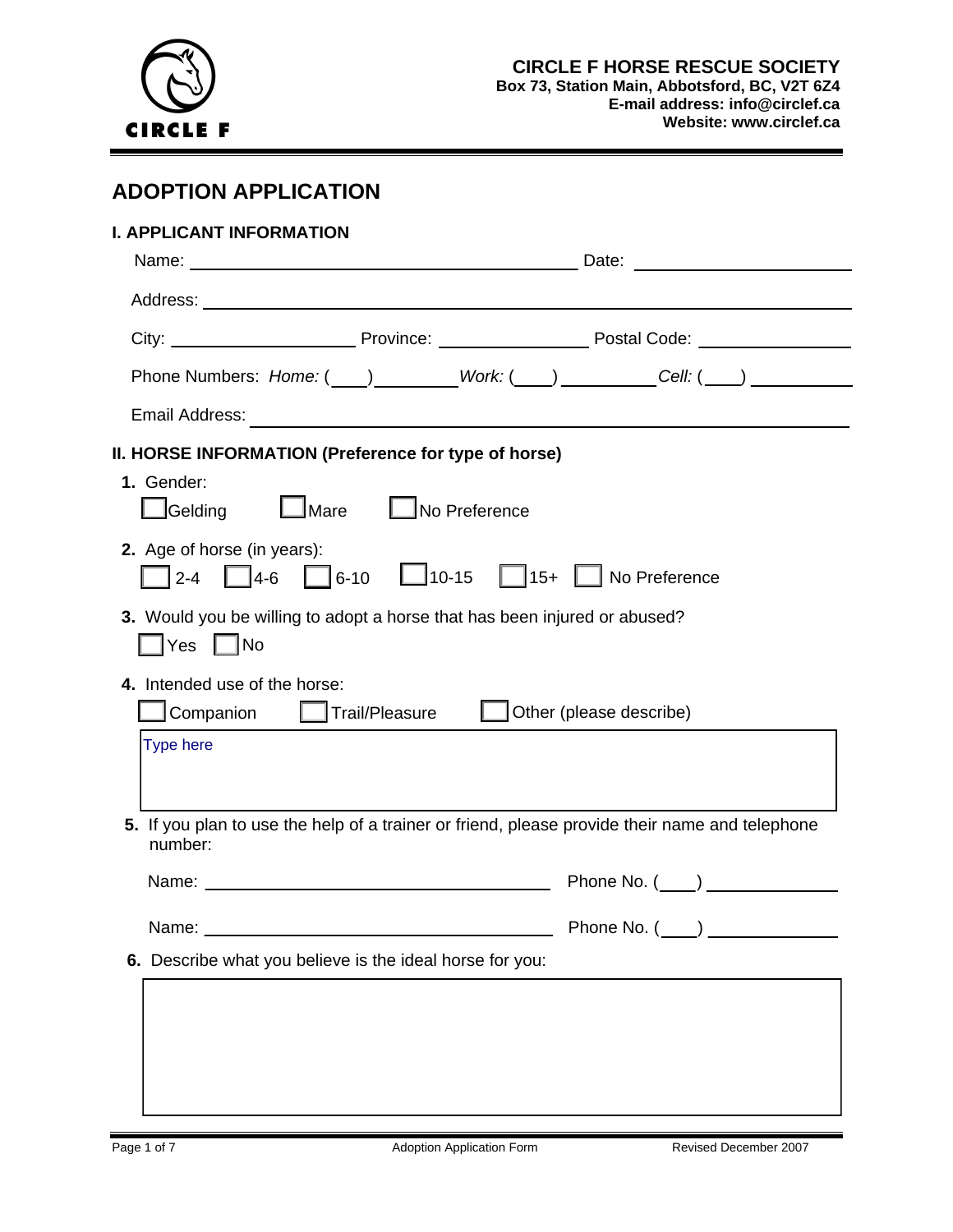

# **ADOPTION APPLICATION**

| I. APPLICANT INFORMATION                                                  | Date: the contract of the contract of the contract of the contract of the contract of the contract of the contract of the contract of the contract of the contract of the contract of the contract of the contract of the cont |
|---------------------------------------------------------------------------|--------------------------------------------------------------------------------------------------------------------------------------------------------------------------------------------------------------------------------|
|                                                                           |                                                                                                                                                                                                                                |
|                                                                           |                                                                                                                                                                                                                                |
|                                                                           |                                                                                                                                                                                                                                |
|                                                                           |                                                                                                                                                                                                                                |
|                                                                           |                                                                                                                                                                                                                                |
| II. HORSE INFORMATION (Preference for type of horse)                      |                                                                                                                                                                                                                                |
| 1. Gender:                                                                |                                                                                                                                                                                                                                |
| $\Box$ Gelding<br>$\Box$ Mare                                             | No Preference                                                                                                                                                                                                                  |
| 2. Age of horse (in years):                                               |                                                                                                                                                                                                                                |
| $1 \t 4-6$<br>$2 - 4$                                                     | $\Box$ 6-10 $\Box$ 10-15 $\Box$ 15+ $\Box$ No Preference                                                                                                                                                                       |
| 3. Would you be willing to adopt a horse that has been injured or abused? |                                                                                                                                                                                                                                |
|                                                                           |                                                                                                                                                                                                                                |
| 4. Intended use of the horse:                                             |                                                                                                                                                                                                                                |
| <b>Let</b> Trail/Pleasure<br>Companion                                    | $\Box$ Other (please describe)                                                                                                                                                                                                 |
| <b>Type here</b>                                                          |                                                                                                                                                                                                                                |
|                                                                           |                                                                                                                                                                                                                                |
|                                                                           |                                                                                                                                                                                                                                |
| number:                                                                   | 5. If you plan to use the help of a trainer or friend, please provide their name and telephone                                                                                                                                 |
|                                                                           | Phone No. ( )                                                                                                                                                                                                                  |
| Name: _                                                                   | Phone No. (                                                                                                                                                                                                                    |
| 6. Describe what you believe is the ideal horse for you:                  |                                                                                                                                                                                                                                |
|                                                                           |                                                                                                                                                                                                                                |
|                                                                           |                                                                                                                                                                                                                                |
|                                                                           |                                                                                                                                                                                                                                |
|                                                                           |                                                                                                                                                                                                                                |
|                                                                           |                                                                                                                                                                                                                                |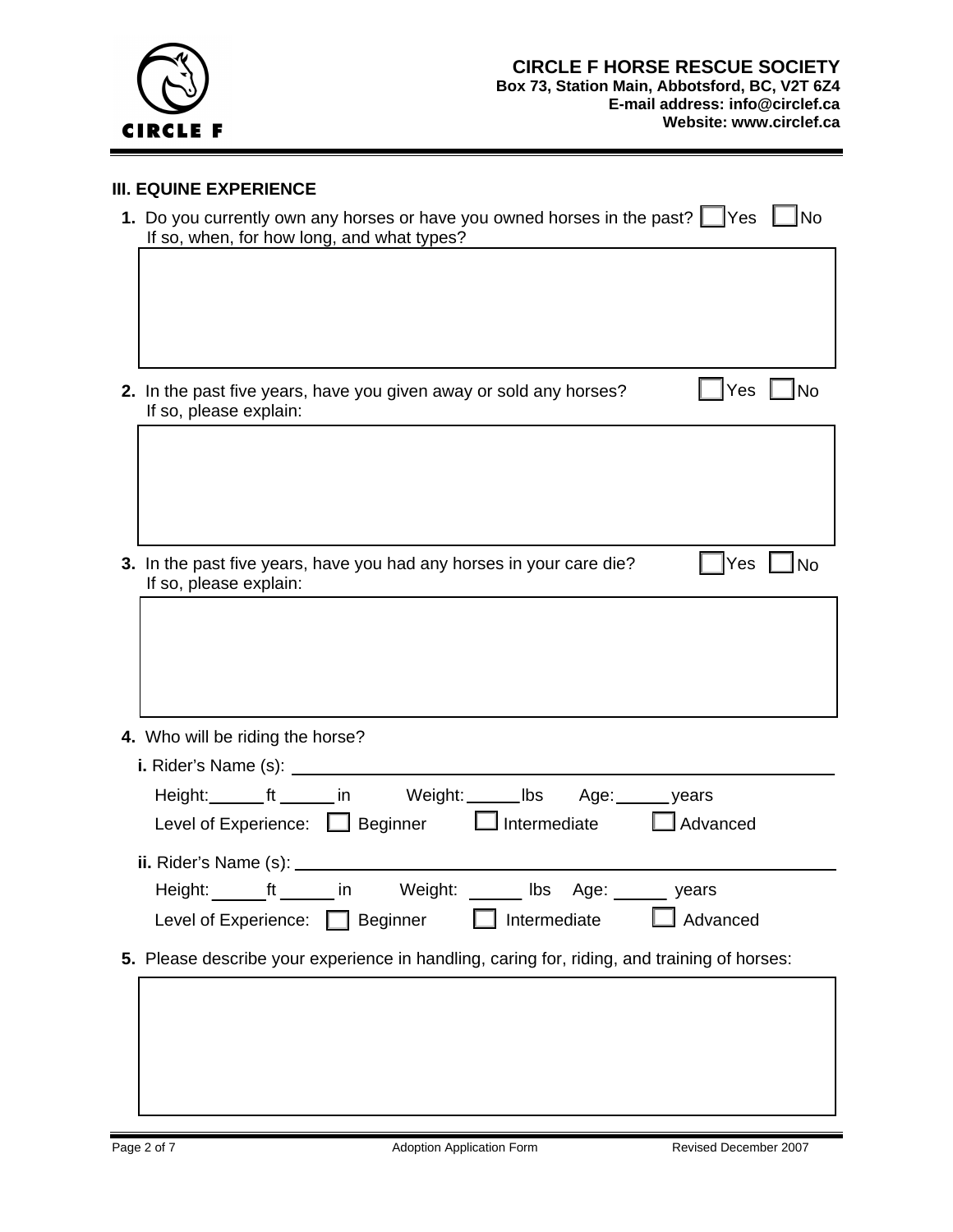

## **III. EQUINE EXPERIENCE**

| 1. Do you currently own any horses or have you owned horses in the past? Thes Tho<br>If so, when, for how long, and what types? |  |  |  |  |  |  |
|---------------------------------------------------------------------------------------------------------------------------------|--|--|--|--|--|--|
|                                                                                                                                 |  |  |  |  |  |  |
|                                                                                                                                 |  |  |  |  |  |  |
|                                                                                                                                 |  |  |  |  |  |  |
| │ Yes │ No<br>2. In the past five years, have you given away or sold any horses?<br>If so, please explain:                      |  |  |  |  |  |  |
|                                                                                                                                 |  |  |  |  |  |  |
|                                                                                                                                 |  |  |  |  |  |  |
|                                                                                                                                 |  |  |  |  |  |  |
| 3. In the past five years, have you had any horses in your care die?<br> Yes<br>∏No<br>If so, please explain:                   |  |  |  |  |  |  |
|                                                                                                                                 |  |  |  |  |  |  |
|                                                                                                                                 |  |  |  |  |  |  |
|                                                                                                                                 |  |  |  |  |  |  |
| 4. Who will be riding the horse?                                                                                                |  |  |  |  |  |  |
|                                                                                                                                 |  |  |  |  |  |  |
| Height:_______ft ______ in Weight: ______ Ibs Age: ______ years                                                                 |  |  |  |  |  |  |
| Level of Experience: Superinter Superinter Superinter Superior and Advanced                                                     |  |  |  |  |  |  |
|                                                                                                                                 |  |  |  |  |  |  |
| Height: ft _ _ in Weight: _ _ _<br>lbs<br>Age:<br>years                                                                         |  |  |  |  |  |  |
| Advanced<br>Beginner<br>Intermediate<br>Level of Experience:                                                                    |  |  |  |  |  |  |
| 5. Please describe your experience in handling, caring for, riding, and training of horses:                                     |  |  |  |  |  |  |
|                                                                                                                                 |  |  |  |  |  |  |
|                                                                                                                                 |  |  |  |  |  |  |
|                                                                                                                                 |  |  |  |  |  |  |
|                                                                                                                                 |  |  |  |  |  |  |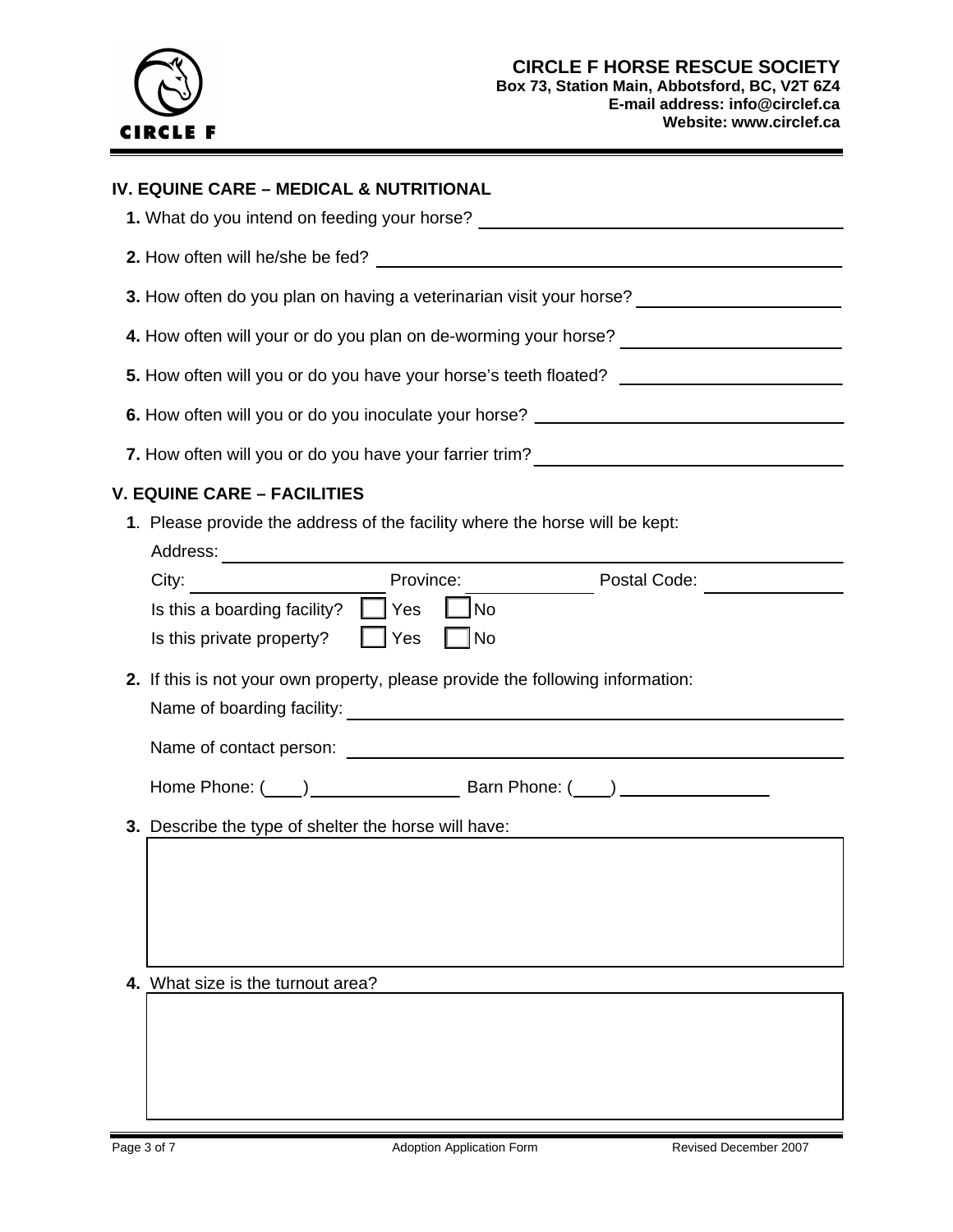

# **IV. EQUINE CARE – MEDICAL & NUTRITIONAL**

| 1. What do you intend on feeding your horse?                                                                    |  |  |  |  |  |  |
|-----------------------------------------------------------------------------------------------------------------|--|--|--|--|--|--|
|                                                                                                                 |  |  |  |  |  |  |
| 3. How often do you plan on having a veterinarian visit your horse? ___________________                         |  |  |  |  |  |  |
| 4. How often will your or do you plan on de-worming your horse? _________________                               |  |  |  |  |  |  |
| 5. How often will you or do you have your horse's teeth floated? _______________                                |  |  |  |  |  |  |
| 6. How often will you or do you inoculate your horse? __________________________                                |  |  |  |  |  |  |
| 7. How often will you or do you have your farrier trim? ________________________                                |  |  |  |  |  |  |
| <b>V. EQUINE CARE - FACILITIES</b>                                                                              |  |  |  |  |  |  |
| 1. Please provide the address of the facility where the horse will be kept:                                     |  |  |  |  |  |  |
| Province:<br>City:<br>Postal Code: 2000 Postal Code:                                                            |  |  |  |  |  |  |
| Is this a boarding facility? $\Box$ Yes<br> No<br>$\vert$ $\vert$ No<br>$\Box$ Yes<br>Is this private property? |  |  |  |  |  |  |
| 2. If this is not your own property, please provide the following information:                                  |  |  |  |  |  |  |
|                                                                                                                 |  |  |  |  |  |  |
|                                                                                                                 |  |  |  |  |  |  |
| 3. Describe the type of shelter the horse will have:                                                            |  |  |  |  |  |  |
|                                                                                                                 |  |  |  |  |  |  |
|                                                                                                                 |  |  |  |  |  |  |
|                                                                                                                 |  |  |  |  |  |  |
| 4. What size is the turnout area?                                                                               |  |  |  |  |  |  |
|                                                                                                                 |  |  |  |  |  |  |
|                                                                                                                 |  |  |  |  |  |  |
|                                                                                                                 |  |  |  |  |  |  |
|                                                                                                                 |  |  |  |  |  |  |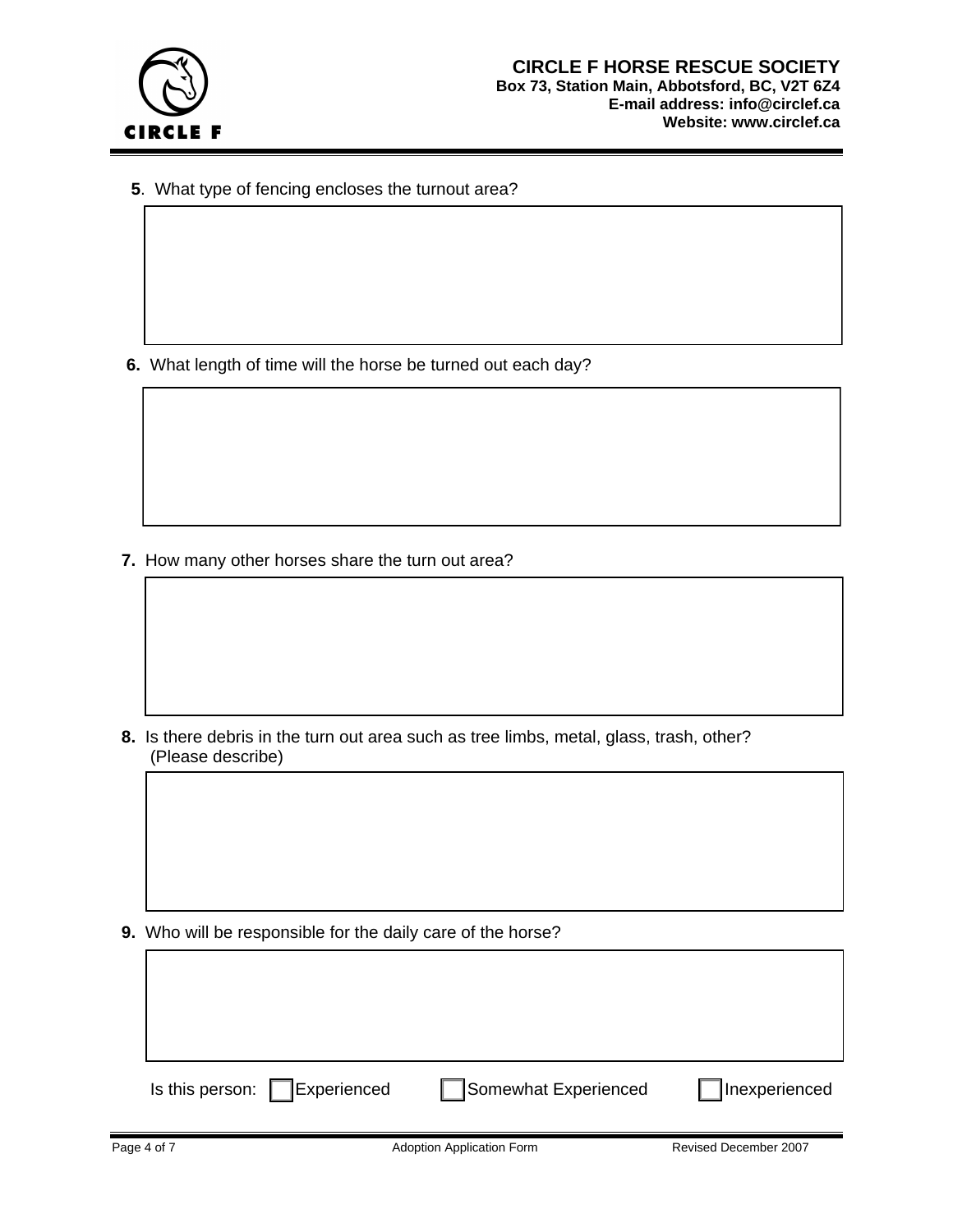

 **5**. What type of fencing encloses the turnout area?

 **6.** What length of time will the horse be turned out each day?

 **7.** How many other horses share the turn out area?

 **8.** Is there debris in the turn out area such as tree limbs, metal, glass, trash, other? (Please describe)

 **9.** Who will be responsible for the daily care of the horse?

| Is this person: $\Box$<br>Experienced | Somewhat Experienced | Inexperienced |
|---------------------------------------|----------------------|---------------|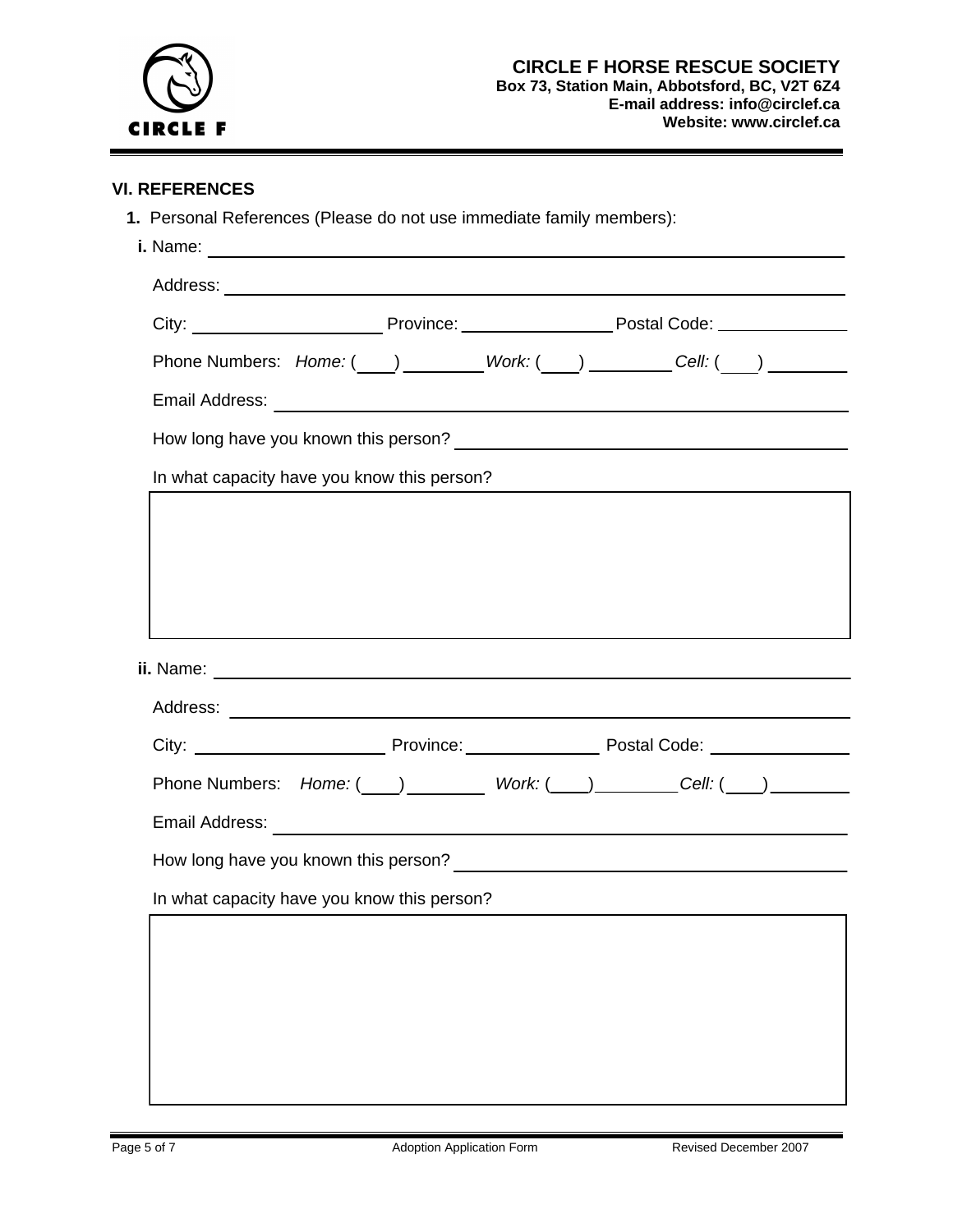

### **VI. REFERENCES**

 **1.** Personal References (Please do not use immediate family members): **i.** Name:

| Phone Numbers: Home: ( ) ________Work: ( ) ________Cell: ( ) ____________________ |  |                                                                                                                      |  |
|-----------------------------------------------------------------------------------|--|----------------------------------------------------------------------------------------------------------------------|--|
|                                                                                   |  |                                                                                                                      |  |
|                                                                                   |  |                                                                                                                      |  |
| In what capacity have you know this person?                                       |  | <u> 1989 - Johann Stein, marwolaethau a bhann an t-Amhair an t-Amhair an t-Amhair an t-Amhair an t-Amhair an t-A</u> |  |
|                                                                                   |  |                                                                                                                      |  |
|                                                                                   |  |                                                                                                                      |  |
|                                                                                   |  |                                                                                                                      |  |
|                                                                                   |  |                                                                                                                      |  |
|                                                                                   |  |                                                                                                                      |  |
|                                                                                   |  |                                                                                                                      |  |
|                                                                                   |  |                                                                                                                      |  |
|                                                                                   |  |                                                                                                                      |  |
| Email Address: <u>Communications</u>                                              |  |                                                                                                                      |  |
|                                                                                   |  |                                                                                                                      |  |
| In what capacity have you know this person?                                       |  |                                                                                                                      |  |
|                                                                                   |  |                                                                                                                      |  |
|                                                                                   |  |                                                                                                                      |  |
|                                                                                   |  |                                                                                                                      |  |
|                                                                                   |  |                                                                                                                      |  |
|                                                                                   |  |                                                                                                                      |  |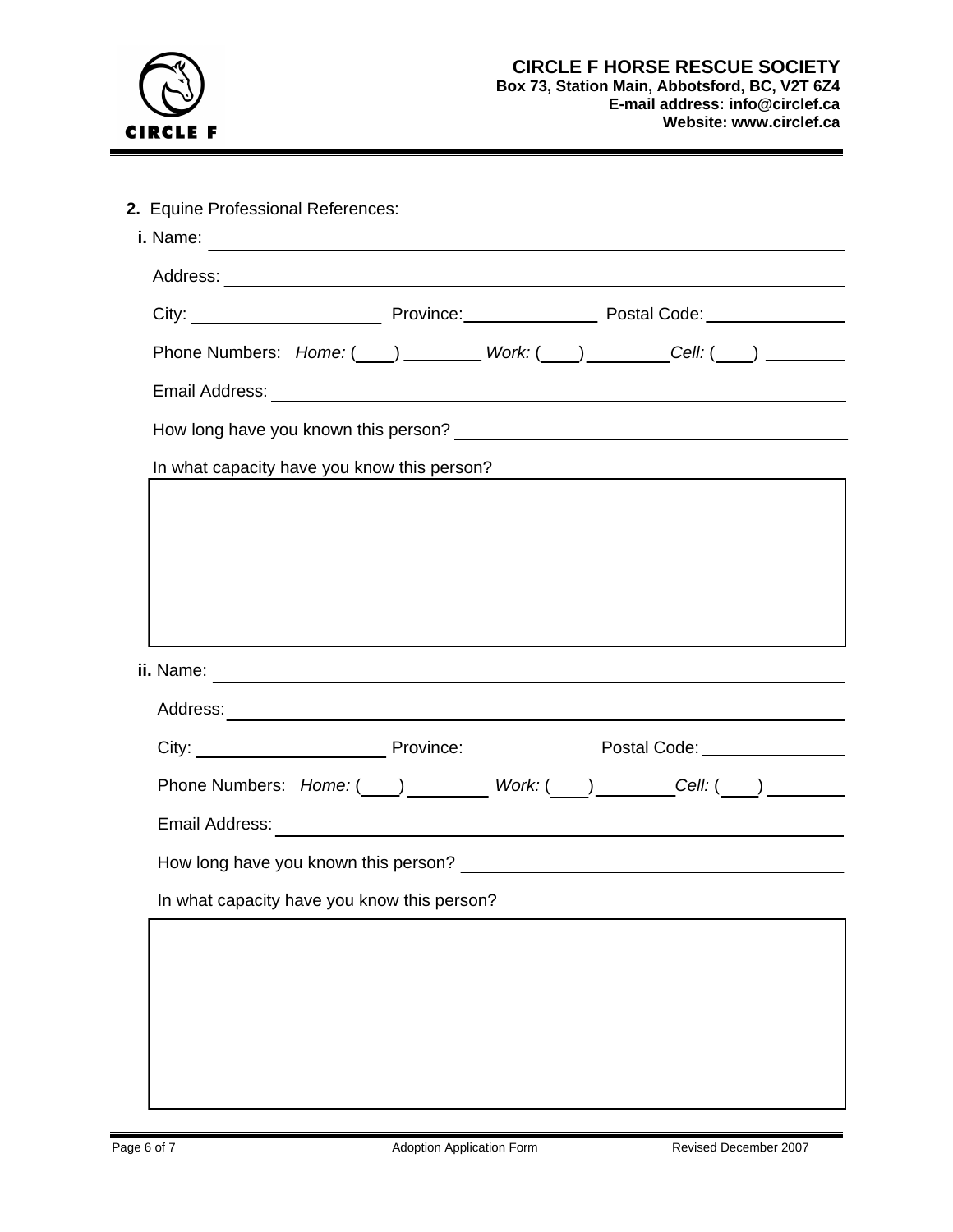

| Phone Numbers: Home: ( ) ________ Work: ( ) ________ Cell: ( ) ________ |  |                                                                                                                        |  |
|-------------------------------------------------------------------------|--|------------------------------------------------------------------------------------------------------------------------|--|
|                                                                         |  |                                                                                                                        |  |
|                                                                         |  |                                                                                                                        |  |
| In what capacity have you know this person?                             |  | <u> 1989 - Johann Stoff, deutscher Stoffen und der Stoffen und der Stoffen und der Stoffen und der Stoffen und der</u> |  |
|                                                                         |  |                                                                                                                        |  |
|                                                                         |  |                                                                                                                        |  |
|                                                                         |  |                                                                                                                        |  |
|                                                                         |  |                                                                                                                        |  |
|                                                                         |  |                                                                                                                        |  |
|                                                                         |  |                                                                                                                        |  |
|                                                                         |  |                                                                                                                        |  |
|                                                                         |  |                                                                                                                        |  |
|                                                                         |  |                                                                                                                        |  |
|                                                                         |  |                                                                                                                        |  |
|                                                                         |  |                                                                                                                        |  |
|                                                                         |  |                                                                                                                        |  |
|                                                                         |  |                                                                                                                        |  |
|                                                                         |  |                                                                                                                        |  |
|                                                                         |  |                                                                                                                        |  |
|                                                                         |  |                                                                                                                        |  |
| In what capacity have you know this person?                             |  |                                                                                                                        |  |
|                                                                         |  |                                                                                                                        |  |
|                                                                         |  |                                                                                                                        |  |